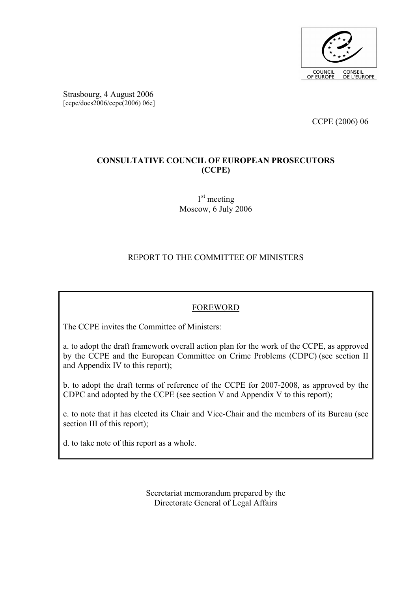

Strasbourg, 4 August 2006 [ccpe/docs2006/ccpe(2006) 06e]

CCPE (2006) 06

# **CONSULTATIVE COUNCIL OF EUROPEAN PROSECUTORS (CCPE)**

1<sup>st</sup> meeting Moscow, 6 July 2006

# REPORT TO THE COMMITTEE OF MINISTERS

### **FOREWORD**

The CCPE invites the Committee of Ministers:

a. to adopt the draft framework overall action plan for the work of the CCPE, as approved by the CCPE and the European Committee on Crime Problems (CDPC) (see section II and Appendix IV to this report);

b. to adopt the draft terms of reference of the CCPE for 2007-2008, as approved by the CDPC and adopted by the CCPE (see section V and Appendix V to this report);

c. to note that it has elected its Chair and Vice-Chair and the members of its Bureau (see section III of this report);

d. to take note of this report as a whole.

Secretariat memorandum prepared by the Directorate General of Legal Affairs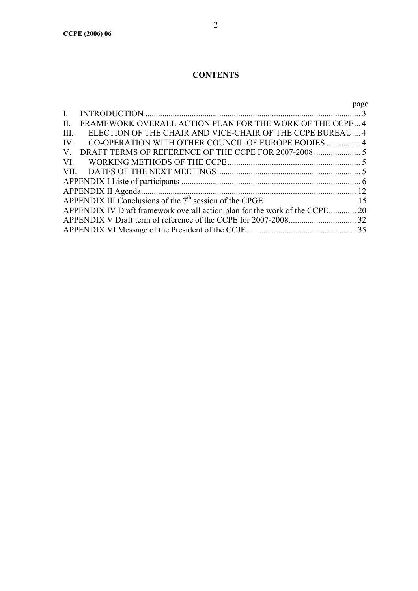#### **CONTENTS**

### page I. INTRODUCTION ...................................................................................................... 3 II. FRAMEWORK OVERALL ACTION PLAN FOR THE WORK OF THE CCPE... 4 III. ELECTION OF THE CHAIR AND VICE-CHAIR OF THE CCPE BUREAU.... 4 IV. CO-OPERATION WITH OTHER COUNCIL OF EUROPE BODIES ................ 4 V. DRAFT TERMS OF REFERENCE OF THE CCPE FOR 2007-2008 ...................... 5 VI. WORKING METHODS OF THE CCPE............................................................... 5 VII. DATES OF THE NEXT MEETINGS.................................................................... 5 APPENDIX I Liste of participants ..................................................................................... 6 APPENDIX II Agenda...................................................................................................... 12 APPENDIX III Conclusions of the  $7<sup>th</sup>$  session of the CPGE 15 APPENDIX IV Draft framework overall action plan for the work of the CCPE............. 20 APPENDIX V Draft term of reference of the CCPE for 2007-2008................................ 32 APPENDIX VI Message of the President of the CCJE.................................................... 35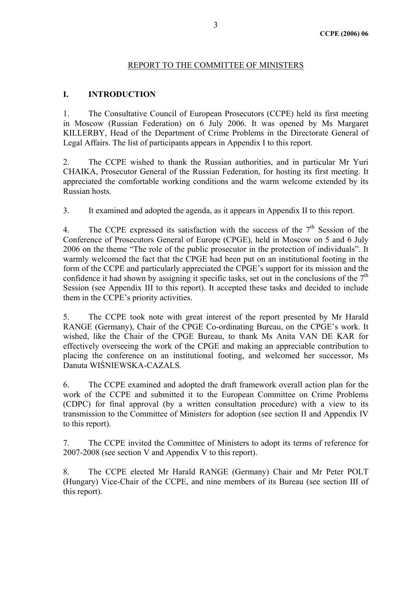#### REPORT TO THE COMMITTEE OF MINISTERS

#### **I. INTRODUCTION**

1. The Consultative Council of European Prosecutors (CCPE) held its first meeting in Moscow (Russian Federation) on 6 July 2006. It was opened by Ms Margaret KILLERBY, Head of the Department of Crime Problems in the Directorate General of Legal Affairs. The list of participants appears in Appendix I to this report.

2. The CCPE wished to thank the Russian authorities, and in particular Mr Yuri CHAIKA, Prosecutor General of the Russian Federation, for hosting its first meeting. It appreciated the comfortable working conditions and the warm welcome extended by its Russian hosts.

3. It examined and adopted the agenda, as it appears in Appendix II to this report.

4. The CCPE expressed its satisfaction with the success of the  $7<sup>th</sup>$  Session of the Conference of Prosecutors General of Europe (CPGE), held in Moscow on 5 and 6 July 2006 on the theme "The role of the public prosecutor in the protection of individuals". It warmly welcomed the fact that the CPGE had been put on an institutional footing in the form of the CCPE and particularly appreciated the CPGE's support for its mission and the confidence it had shown by assigning it specific tasks, set out in the conclusions of the  $7<sup>th</sup>$ Session (see Appendix III to this report). It accepted these tasks and decided to include them in the CCPE's priority activities.

5. The CCPE took note with great interest of the report presented by Mr Harald RANGE (Germany), Chair of the CPGE Co-ordinating Bureau, on the CPGE's work. It wished, like the Chair of the CPGE Bureau, to thank Ms Anita VAN DE KAR for effectively overseeing the work of the CPGE and making an appreciable contribution to placing the conference on an institutional footing, and welcomed her successor, Ms Danuta WIŚNIEWSKA-CAZALS.

6. The CCPE examined and adopted the draft framework overall action plan for the work of the CCPE and submitted it to the European Committee on Crime Problems (CDPC) for final approval (by a written consultation procedure) with a view to its transmission to the Committee of Ministers for adoption (see section II and Appendix IV to this report).

7. The CCPE invited the Committee of Ministers to adopt its terms of reference for 2007-2008 (see section V and Appendix V to this report).

8. The CCPE elected Mr Harald RANGE (Germany) Chair and Mr Peter POLT (Hungary) Vice-Chair of the CCPE, and nine members of its Bureau (see section III of this report).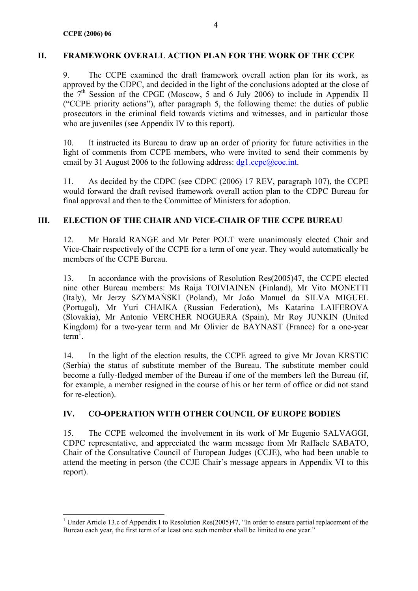$\overline{a}$ 

### **II. FRAMEWORK OVERALL ACTION PLAN FOR THE WORK OF THE CCPE**

9. The CCPE examined the draft framework overall action plan for its work, as approved by the CDPC, and decided in the light of the conclusions adopted at the close of the  $7<sup>th</sup>$  Session of the CPGE (Moscow, 5 and 6 July 2006) to include in Appendix II ("CCPE priority actions"), after paragraph 5, the following theme: the duties of public prosecutors in the criminal field towards victims and witnesses, and in particular those who are juveniles (see Appendix IV to this report).

10. It instructed its Bureau to draw up an order of priority for future activities in the light of comments from CCPE members, who were invited to send their comments by email by 31 August 2006 to the following address:  $dg1.cope@coe.int.$ 

11. As decided by the CDPC (see CDPC (2006) 17 REV, paragraph 107), the CCPE would forward the draft revised framework overall action plan to the CDPC Bureau for final approval and then to the Committee of Ministers for adoption.

### **III. ELECTION OF THE CHAIR AND VICE-CHAIR OF THE CCPE BUREAU**

12. Mr Harald RANGE and Mr Peter POLT were unanimously elected Chair and Vice-Chair respectively of the CCPE for a term of one year. They would automatically be members of the CCPE Bureau.

13. In accordance with the provisions of Resolution Res(2005)47, the CCPE elected nine other Bureau members: Ms Raija TOIVIAINEN (Finland), Mr Vito MONETTI (Italy), Mr Jerzy SZYMAŃSKI (Poland), Mr João Manuel da SILVA MIGUEL (Portugal), Mr Yuri CHAIKA (Russian Federation), Ms Katarina LAIFEROVA (Slovakia), Mr Antonio VERCHER NOGUERA (Spain), Mr Roy JUNKIN (United Kingdom) for a two-year term and Mr Olivier de BAYNAST (France) for a one-year  $term<sup>1</sup>$ .

14. In the light of the election results, the CCPE agreed to give Mr Jovan KRSTIC (Serbia) the status of substitute member of the Bureau. The substitute member could become a fully-fledged member of the Bureau if one of the members left the Bureau (if, for example, a member resigned in the course of his or her term of office or did not stand for re-election).

### **IV. CO-OPERATION WITH OTHER COUNCIL OF EUROPE BODIES**

15. The CCPE welcomed the involvement in its work of Mr Eugenio SALVAGGI, CDPC representative, and appreciated the warm message from Mr Raffaele SABATO, Chair of the Consultative Council of European Judges (CCJE), who had been unable to attend the meeting in person (the CCJE Chair's message appears in Appendix VI to this report).

<sup>&</sup>lt;sup>1</sup> Under Article 13.c of Appendix I to Resolution Res(2005)47, "In order to ensure partial replacement of the Bureau each year, the first term of at least one such member shall be limited to one year."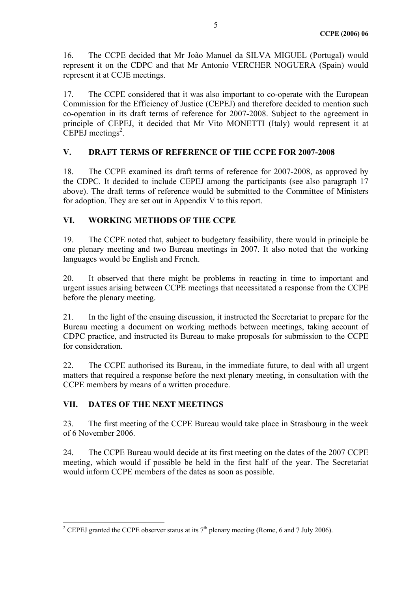16. The CCPE decided that Mr João Manuel da SILVA MIGUEL (Portugal) would represent it on the CDPC and that Mr Antonio VERCHER NOGUERA (Spain) would represent it at CCJE meetings.

17. The CCPE considered that it was also important to co-operate with the European Commission for the Efficiency of Justice (CEPEJ) and therefore decided to mention such co-operation in its draft terms of reference for 2007-2008. Subject to the agreement in principle of CEPEJ, it decided that Mr Vito MONETTI (Italy) would represent it at CEPEJ meetings<sup>2</sup>.

### **V. DRAFT TERMS OF REFERENCE OF THE CCPE FOR 2007-2008**

18. The CCPE examined its draft terms of reference for 2007-2008, as approved by the CDPC. It decided to include CEPEJ among the participants (see also paragraph 17 above). The draft terms of reference would be submitted to the Committee of Ministers for adoption. They are set out in Appendix V to this report.

# **VI. WORKING METHODS OF THE CCPE**

19. The CCPE noted that, subject to budgetary feasibility, there would in principle be one plenary meeting and two Bureau meetings in 2007. It also noted that the working languages would be English and French.

20. It observed that there might be problems in reacting in time to important and urgent issues arising between CCPE meetings that necessitated a response from the CCPE before the plenary meeting.

21. In the light of the ensuing discussion, it instructed the Secretariat to prepare for the Bureau meeting a document on working methods between meetings, taking account of CDPC practice, and instructed its Bureau to make proposals for submission to the CCPE for consideration.

22. The CCPE authorised its Bureau, in the immediate future, to deal with all urgent matters that required a response before the next plenary meeting, in consultation with the CCPE members by means of a written procedure.

# **VII. DATES OF THE NEXT MEETINGS**

23. The first meeting of the CCPE Bureau would take place in Strasbourg in the week of 6 November 2006.

24. The CCPE Bureau would decide at its first meeting on the dates of the 2007 CCPE meeting, which would if possible be held in the first half of the year. The Secretariat would inform CCPE members of the dates as soon as possible.

<sup>&</sup>lt;sup>2</sup> CEPEJ granted the CCPE observer status at its  $7<sup>th</sup>$  plenary meeting (Rome, 6 and 7 July 2006).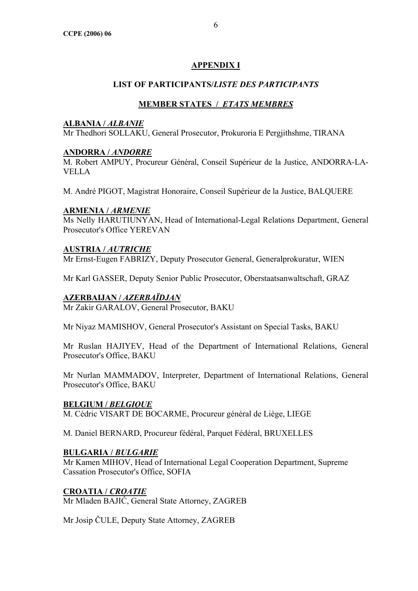### **APPENDIX I**

### **LIST OF PARTICIPANTS/***LISTE DES PARTICIPANTS*

### **MEMBER STATES /** *ETATS MEMBRES*

#### **ALBANIA /** *ALBANIE*

Mr Thedhori SOLLAKU, General Prosecutor, Prokuroria E Pergjithshme, TIRANA

#### **ANDORRA /** *ANDORRE*

M. Robert AMPUY, Procureur Général, Conseil Supérieur de la Justice, ANDORRA-LA-VELLA

M. André PIGOT, Magistrat Honoraire, Conseil Supérieur de la Justice, BALQUERE

#### **ARMENIA /** *ARMENIE*

Ms Nelly HARUTIUNYAN, Head of International-Legal Relations Department, General Prosecutor's Office YEREVAN

#### **AUSTRIA /** *AUTRICHE*

Mr Ernst-Eugen FABRIZY, Deputy Prosecutor General, Generalprokuratur, WIEN

Mr Karl GASSER, Deputy Senior Public Prosecutor, Oberstaatsanwaltschaft, GRAZ

#### **AZERBAIJAN /** *AZERBAΪDJAN*

Mr Zakir GARALOV, General Prosecutor, BAKU

Mr Niyaz MAMISHOV, General Prosecutor's Assistant on Special Tasks, BAKU

Mr Ruslan HAJIYEV, Head of the Department of International Relations, General Prosecutor's Office, BAKU

Mr Nurlan MAMMADOV, Interpreter, Department of International Relations, General Prosecutor's Office, BAKU

#### **BELGIUM /** *BELGIQUE*

M. Cédric VISART DE BOCARME, Procureur général de Liège, LIEGE

M. Daniel BERNARD, Procureur fédéral, Parquet Fédéral, BRUXELLES

#### **BULGARIA /** *BULGARIE*

Mr Kamen MIHOV, Head of International Legal Cooperation Department, Supreme Cassation Prosecutor's Office, SOFIA

#### **CROATIA /** *CROATIE*

Mr Mladen BAJIĆ, General State Attorney, ZAGREB

Mr Josip ČULE, Deputy State Attorney, ZAGREB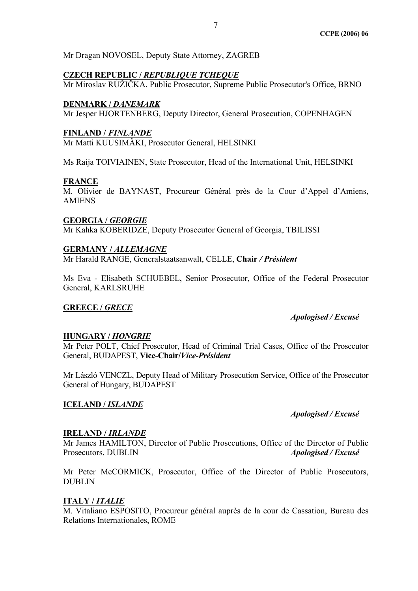Mr Dragan NOVOSEL, Deputy State Attorney, ZAGREB

#### **CZECH REPUBLIC /** *REPUBLIQUE TCHEQUE*

Mr Miroslav RỦŽIČKA, Public Prosecutor, Supreme Public Prosecutor's Office, BRNO

### **DENMARK /** *DANEMARK*

Mr Jesper HJORTENBERG, Deputy Director, General Prosecution, COPENHAGEN

### **FINLAND /** *FINLANDE*

Mr Matti KUUSIMÄKI, Prosecutor General, HELSINKI

Ms Raija TOIVIAINEN, State Prosecutor, Head of the International Unit, HELSINKI

### **FRANCE**

M. Olivier de BAYNAST, Procureur Général près de la Cour d'Appel d'Amiens, **AMIENS** 

### **GEORGIA /** *GEORGIE*

Mr Kahka KOBERIDZE, Deputy Prosecutor General of Georgia, TBILISSI

### **GERMANY /** *ALLEMAGNE*

Mr Harald RANGE, Generalstaatsanwalt, CELLE, **Chair** */ Président*

Ms Eva - Elisabeth SCHUEBEL, Senior Prosecutor, Office of the Federal Prosecutor General, KARLSRUHE

### **GREECE /** *GRECE*

### *Apologised / Excusé*

#### **HUNGARY /** *HONGRIE*

Mr Peter POLT, Chief Prosecutor, Head of Criminal Trial Cases, Office of the Prosecutor General, BUDAPEST, **Vice-Chair/***Vice-Président*

Mr László VENCZL, Deputy Head of Military Prosecution Service, Office of the Prosecutor General of Hungary, BUDAPEST

### **ICELAND /** *ISLANDE*

### *Apologised / Excusé*

#### **IRELAND /** *IRLANDE*

Mr James HAMILTON, Director of Public Prosecutions, Office of the Director of Public Prosecutors, DUBLIN *Apologised / Excusé*

Mr Peter McCORMICK, Prosecutor, Office of the Director of Public Prosecutors, DUBLIN

### **ITALY /** *ITALIE*

M. Vitaliano ESPOSITO, Procureur général auprès de la cour de Cassation, Bureau des Relations Internationales, ROME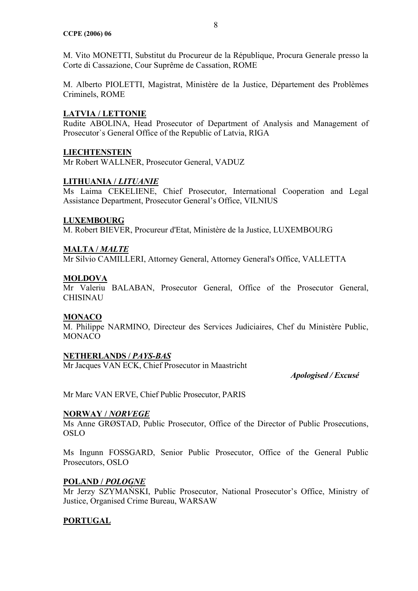M. Vito MONETTI, Substitut du Procureur de la République, Procura Generale presso la Corte di Cassazione, Cour Suprême de Cassation, ROME

M. Alberto PIOLETTI, Magistrat, Ministère de la Justice, Département des Problèmes Criminels, ROME

### **LATVIA / LETTONIE**

Rudite ABOLINA, Head Prosecutor of Department of Analysis and Management of Prosecutor`s General Office of the Republic of Latvia, RIGA

### **LIECHTENSTEIN**

Mr Robert WALLNER, Prosecutor General, VADUZ

# **LITHUANIA /** *LITUANIE*

Ms Laima CEKELIENE, Chief Prosecutor, International Cooperation and Legal Assistance Department, Prosecutor General's Office, VILNIUS

### **LUXEMBOURG**

M. Robert BIEVER, Procureur d'Etat, Ministère de la Justice, LUXEMBOURG

### **MALTA /** *MALTE*

Mr Silvio CAMILLERI, Attorney General, Attorney General's Office, VALLETTA

### **MOLDOVA**

Mr Valeriu BALABAN, Prosecutor General, Office of the Prosecutor General, **CHISINAU** 

### **MONACO**

M. Philippe NARMINO, Directeur des Services Judiciaires, Chef du Ministère Public, **MONACO** 

# **NETHERLANDS /** *PAYS-BAS*

Mr Jacques VAN ECK, Chief Prosecutor in Maastricht

*Apologised / Excusé*

Mr Marc VAN ERVE, Chief Public Prosecutor, PARIS

### **NORWAY /** *NORVEGE*

Ms Anne GRØSTAD, Public Prosecutor, Office of the Director of Public Prosecutions, OSLO

Ms Ingunn FOSSGARD, Senior Public Prosecutor, Office of the General Public Prosecutors, OSLO

### **POLAND /** *POLOGNE*

Mr Jerzy SZYMAŃSKI, Public Prosecutor, National Prosecutor's Office, Ministry of Justice, Organised Crime Bureau, WARSAW

# **PORTUGAL**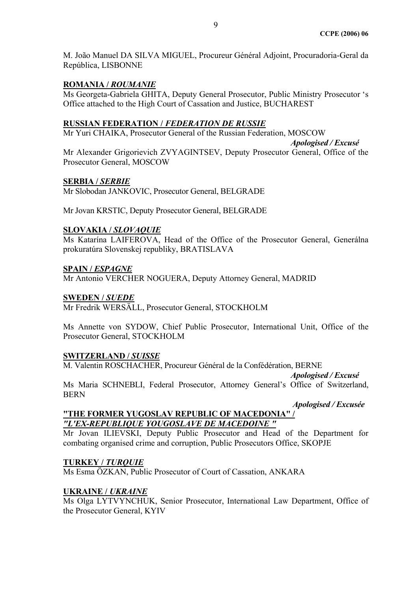M. João Manuel DA SILVA MIGUEL, Procureur Général Adjoint, Procuradoria-Geral da República, LISBONNE

### **ROMANIA /** *ROUMANIE*

Ms Georgeta-Gabriela GHITA, Deputy General Prosecutor, Public Ministry Prosecutor 's Office attached to the High Court of Cassation and Justice, BUCHAREST

#### **RUSSIAN FEDERATION /** *FEDERATION DE RUSSIE*

Mr Yuri CHAIKA, Prosecutor General of the Russian Federation, MOSCOW

*Apologised / Excusé* Mr Alexander Grigorievich ZVYAGINTSEV, Deputy Prosecutor General, Office of the Prosecutor General, MOSCOW

#### **SERBIA /** *SERBIE*

Mr Slobodan JANKOVIC, Prosecutor General, BELGRADE

Mr Jovan KRSTIC, Deputy Prosecutor General, BELGRADE

### **SLOVAKIA /** *SLOVAQUIE*

Ms Katarína LAIFEROVA, Head of the Office of the Prosecutor General, Generálna prokuratúra Slovenskej republiky, BRATISLAVA

#### **SPAIN /** *ESPAGNE*

Mr Antonio VERCHER NOGUERA, Deputy Attorney General, MADRID

#### **SWEDEN /** *SUEDE*

Mr Fredrik WERSÄLL, Prosecutor General, STOCKHOLM

Ms Annette von SYDOW, Chief Public Prosecutor, International Unit, Office of the Prosecutor General, STOCKHOLM

### **SWITZERLAND /** *SUISSE*

M. Valentin ROSCHACHER, Procureur Général de la Confédération, BERNE

*Apologised / Excusé*

Ms Maria SCHNEBLI, Federal Prosecutor, Attorney General's Office of Switzerland, BERN

 *Apologised / Excusée*

### **"THE FORMER YUGOSLAV REPUBLIC OF MACEDONIA" /** *"L'EX-REPUBLIQUE YOUGOSLAVE DE MACEDOINE "*

Mr Jovan ILIEVSKI, Deputy Public Prosecutor and Head of the Department for combating organised crime and corruption, Public Prosecutors Office, SKOPJE

#### **TURKEY /** *TURQUIE*

Ms Esma ÖZKAN, Public Prosecutor of Court of Cassation, ANKARA

#### **UKRAINE /** *UKRAINE*

Ms Olga LYTVYNCHUK, Senior Prosecutor, International Law Department, Office of the Prosecutor General, KYIV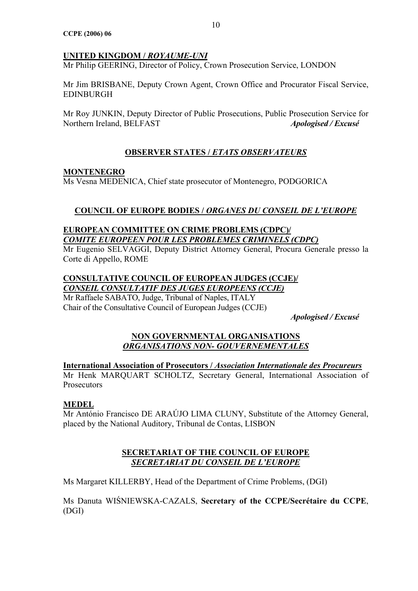### **UNITED KINGDOM /** *ROYAUME-UNI*

Mr Philip GEERING, Director of Policy, Crown Prosecution Service, LONDON

Mr Jim BRISBANE, Deputy Crown Agent, Crown Office and Procurator Fiscal Service, **EDINBURGH** 

Mr Roy JUNKIN, Deputy Director of Public Prosecutions, Public Prosecution Service for Northern Ireland, BELFAST *Apologised / Excusé*

# **OBSERVER STATES /** *ETATS OBSERVATEURS*

### **MONTENEGRO**

Ms Vesna MEDENICA, Chief state prosecutor of Montenegro, PODGORICA

# **COUNCIL OF EUROPE BODIES /** *ORGANES DU CONSEIL DE L'EUROPE*

# **EUROPEAN COMMITTEE ON CRIME PROBLEMS (CDPC)/** *COMITE EUROPEEN POUR LES PROBLEMES CRIMINELS (CDPC)*

Mr Eugenio SELVAGGI, Deputy District Attorney General, Procura Generale presso la Corte di Appello, ROME

#### **CONSULTATIVE COUNCIL OF EUROPEAN JUDGES (CCJE)/** *CONSEIL CONSULTATIF DES JUGES EUROPEENS (CCJE)*

Mr Raffaele SABATO, Judge, Tribunal of Naples, ITALY Chair of the Consultative Council of European Judges (CCJE)

 *Apologised / Excusé*

### **NON GOVERNMENTAL ORGANISATIONS**  *ORGANISATIONS NON- GOUVERNEMENTALES*

### **International Association of Prosecutors /** *Association Internationale des Procureurs*

Mr Henk MARQUART SCHOLTZ, Secretary General, International Association of **Prosecutors** 

### **MEDEL**

Mr António Francisco DE ARAÚJO LIMA CLUNY, Substitute of the Attorney General, placed by the National Auditory, Tribunal de Contas, LISBON

### **SECRETARIAT OF THE COUNCIL OF EUROPE** *SECRETARIAT DU CONSEIL DE L'EUROPE*

Ms Margaret KILLERBY, Head of the Department of Crime Problems, (DGI)

Ms Danuta WIŚNIEWSKA-CAZALS, **Secretary of the CCPE/Secrétaire du CCPE**, (DGI)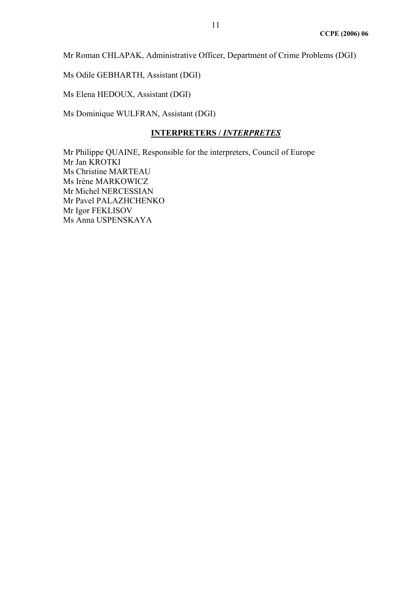Mr Roman CHLAPAK, Administrative Officer, Department of Crime Problems (DGI)

Ms Odile GEBHARTH, Assistant (DGI)

Ms Elena HEDOUX, Assistant (DGI)

Ms Dominique WULFRAN, Assistant (DGI)

#### **INTERPRETERS /** *INTERPRETES*

Mr Philippe QUAINE, Responsible for the interpreters, Council of Europe Mr Jan KROTKI Ms Christine MARTEAU Ms Irène MARKOWICZ Mr Michel NERCESSIAN Mr Pavel PALAZHCHENKO Mr Igor FEKLISOV Ms Anna USPENSKAYA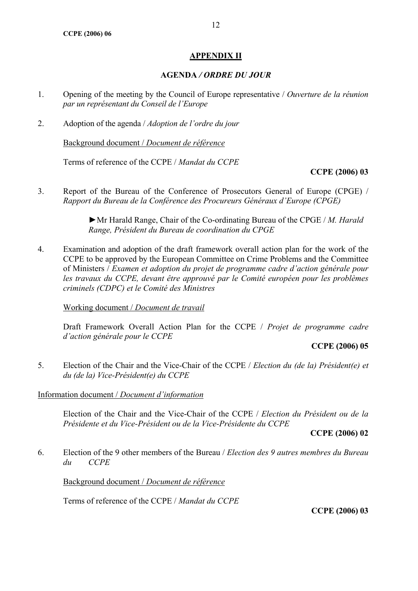# **APPENDIX II**

### **AGENDA** */ ORDRE DU JOUR*

- 1. Opening of the meeting by the Council of Europe representative / *Ouverture de la réunion par un représentant du Conseil de l'Europe*
- 2. Adoption of the agenda / *Adoption de l'ordre du jour*

Background document / *Document de référence*

Terms of reference of the CCPE / *Mandat du CCPE*

### **CCPE (2006) 03**

3. Report of the Bureau of the Conference of Prosecutors General of Europe (CPGE) / *Rapport du Bureau de la Conférence des Procureurs Généraux d'Europe (CPGE)* 

> ►Mr Harald Range, Chair of the Co-ordinating Bureau of the CPGE / *M. Harald Range, Président du Bureau de coordination du CPGE*

4. Examination and adoption of the draft framework overall action plan for the work of the CCPE to be approved by the European Committee on Crime Problems and the Committee of Ministers / *Examen et adoption du projet de programme cadre d'action générale pour*  les travaux du CCPE, devant être approuvé par le Comité européen pour les problèmes *criminels (CDPC) et le Comité des Ministres*

### Working document / *Document de travail*

Draft Framework Overall Action Plan for the CCPE / *Projet de programme cadre d'action générale pour le CCPE* 

# **CCPE (2006) 05**

5. Election of the Chair and the Vice-Chair of the CCPE / *Election du (de la) Président(e) et du (de la) Vice-Président(e) du CCPE* 

#### Information document / *Document d'information*

Election of the Chair and the Vice-Chair of the CCPE / *Election du Président ou de la Présidente et du Vice-Président ou de la Vice-Présidente du CCPE* 

#### **CCPE (2006) 02**

6. Election of the 9 other members of the Bureau / *Election des 9 autres membres du Bureau du CCPE*

Background document / *Document de référence*

Terms of reference of the CCPE / *Mandat du CCPE*

**CCPE (2006) 03**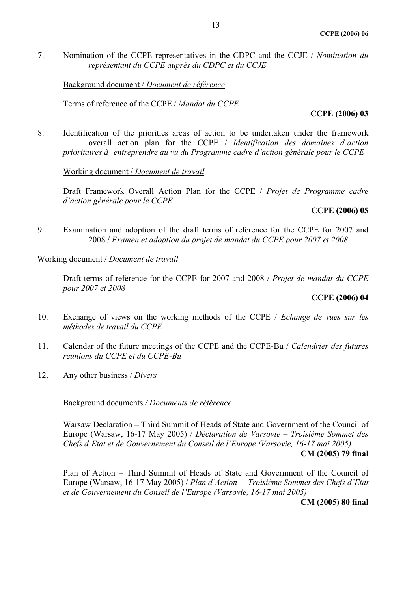7. Nomination of the CCPE representatives in the CDPC and the CCJE / *Nomination du représentant du CCPE auprès du CDPC et du CCJE*

Background document / *Document de référence*

Terms of reference of the CCPE / *Mandat du CCPE*

#### **CCPE (2006) 03**

8. Identification of the priorities areas of action to be undertaken under the framework overall action plan for the CCPE / *Identification des domaines d'action prioritaires à entreprendre au vu du Programme cadre d'action générale pour le CCPE* 

Working document / *Document de travail*

Draft Framework Overall Action Plan for the CCPE / *Projet de Programme cadre d'action générale pour le CCPE* 

#### **CCPE (2006) 05**

9. Examination and adoption of the draft terms of reference for the CCPE for 2007 and 2008 / *Examen et adoption du projet de mandat du CCPE pour 2007 et 2008*

#### Working document / *Document de travail*

Draft terms of reference for the CCPE for 2007 and 2008 / *Projet de mandat du CCPE pour 2007 et 2008*

#### **CCPE (2006) 04**

- 10. Exchange of views on the working methods of the CCPE / *Echange de vues sur les méthodes de travail du CCPE*
- 11. Calendar of the future meetings of the CCPE and the CCPE-Bu / *Calendrier des futures réunions du CCPE et du CCPE-Bu*
- 12. Any other business / *Divers*

#### Background documents */ Documents de référence*

Warsaw Declaration – Third Summit of Heads of State and Government of the Council of Europe (Warsaw, 16-17 May 2005) / *Déclaration de Varsovie – Troisième Sommet des Chefs d'Etat et de Gouvernement du Conseil de l'Europe (Varsovie, 16-17 mai 2005)*  **CM (2005) 79 final** 

Plan of Action – Third Summit of Heads of State and Government of the Council of Europe (Warsaw, 16-17 May 2005) / *Plan d'Action – Troisième Sommet des Chefs d'Etat et de Gouvernement du Conseil de l'Europe (Varsovie, 16-17 mai 2005)* 

**CM (2005) 80 final**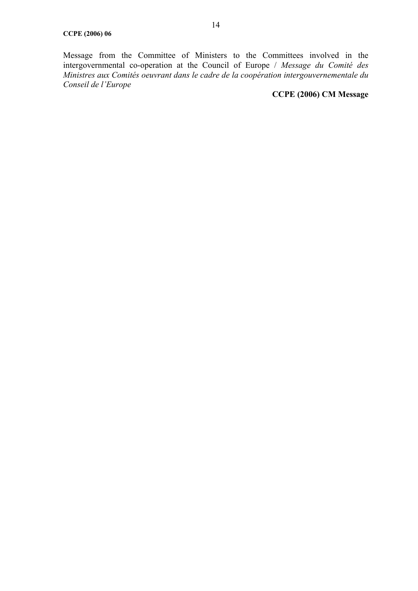Message from the Committee of Ministers to the Committees involved in the intergovernmental co-operation at the Council of Europe / *Message du Comité des Ministres aux Comités oeuvrant dans le cadre de la coopération intergouvernementale du Conseil de l'Europe*

# **CCPE (2006) CM Message**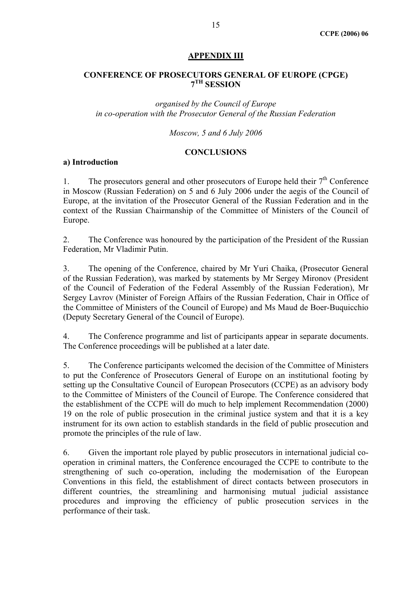#### **APPENDIX III**

#### **CONFERENCE OF PROSECUTORS GENERAL OF EUROPE (CPGE) 7TH SESSION**

*organised by the Council of Europe in co-operation with the Prosecutor General of the Russian Federation* 

*Moscow, 5 and 6 July 2006* 

#### **CONCLUSIONS**

#### **a) Introduction**

1. The prosecutors general and other prosecutors of Europe held their  $7<sup>th</sup>$  Conference in Moscow (Russian Federation) on 5 and 6 July 2006 under the aegis of the Council of Europe, at the invitation of the Prosecutor General of the Russian Federation and in the context of the Russian Chairmanship of the Committee of Ministers of the Council of Europe.

2. The Conference was honoured by the participation of the President of the Russian Federation, Mr Vladimir Putin.

3. The opening of the Conference, chaired by Mr Yuri Chaika, (Prosecutor General of the Russian Federation), was marked by statements by Mr Sergey Mironov (President of the Council of Federation of the Federal Assembly of the Russian Federation), Mr Sergey Lavrov (Minister of Foreign Affairs of the Russian Federation, Chair in Office of the Committee of Ministers of the Council of Europe) and Ms Maud de Boer-Buquicchio (Deputy Secretary General of the Council of Europe).

4. The Conference programme and list of participants appear in separate documents. The Conference proceedings will be published at a later date.

5. The Conference participants welcomed the decision of the Committee of Ministers to put the Conference of Prosecutors General of Europe on an institutional footing by setting up the Consultative Council of European Prosecutors (CCPE) as an advisory body to the Committee of Ministers of the Council of Europe. The Conference considered that the establishment of the CCPE will do much to help implement Recommendation (2000) 19 on the role of public prosecution in the criminal justice system and that it is a key instrument for its own action to establish standards in the field of public prosecution and promote the principles of the rule of law.

6. Given the important role played by public prosecutors in international judicial cooperation in criminal matters, the Conference encouraged the CCPE to contribute to the strengthening of such co-operation, including the modernisation of the European Conventions in this field, the establishment of direct contacts between prosecutors in different countries, the streamlining and harmonising mutual judicial assistance procedures and improving the efficiency of public prosecution services in the performance of their task.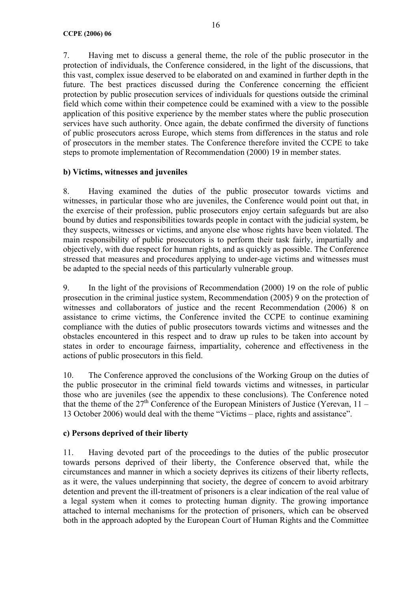7. Having met to discuss a general theme, the role of the public prosecutor in the protection of individuals, the Conference considered, in the light of the discussions, that this vast, complex issue deserved to be elaborated on and examined in further depth in the future. The best practices discussed during the Conference concerning the efficient protection by public prosecution services of individuals for questions outside the criminal field which come within their competence could be examined with a view to the possible application of this positive experience by the member states where the public prosecution services have such authority. Once again, the debate confirmed the diversity of functions of public prosecutors across Europe, which stems from differences in the status and role of prosecutors in the member states. The Conference therefore invited the CCPE to take steps to promote implementation of Recommendation (2000) 19 in member states.

# **b) Victims, witnesses and juveniles**

8. Having examined the duties of the public prosecutor towards victims and witnesses, in particular those who are juveniles, the Conference would point out that, in the exercise of their profession, public prosecutors enjoy certain safeguards but are also bound by duties and responsibilities towards people in contact with the judicial system, be they suspects, witnesses or victims, and anyone else whose rights have been violated. The main responsibility of public prosecutors is to perform their task fairly, impartially and objectively, with due respect for human rights, and as quickly as possible. The Conference stressed that measures and procedures applying to under-age victims and witnesses must be adapted to the special needs of this particularly vulnerable group.

9. In the light of the provisions of Recommendation (2000) 19 on the role of public prosecution in the criminal justice system, Recommendation (2005) 9 on the protection of witnesses and collaborators of justice and the recent Recommendation (2006) 8 on assistance to crime victims, the Conference invited the CCPE to continue examining compliance with the duties of public prosecutors towards victims and witnesses and the obstacles encountered in this respect and to draw up rules to be taken into account by states in order to encourage fairness, impartiality, coherence and effectiveness in the actions of public prosecutors in this field.

10. The Conference approved the conclusions of the Working Group on the duties of the public prosecutor in the criminal field towards victims and witnesses, in particular those who are juveniles (see the appendix to these conclusions). The Conference noted that the theme of the  $27<sup>th</sup>$  Conference of the European Ministers of Justice (Yerevan, 11 – 13 October 2006) would deal with the theme "Victims – place, rights and assistance".

# **с) Persons deprived of their liberty**

11. Having devoted part of the proceedings to the duties of the public prosecutor towards persons deprived of their liberty, the Conference observed that, while the circumstances and manner in which a society deprives its citizens of their liberty reflects, as it were, the values underpinning that society, the degree of concern to avoid arbitrary detention and prevent the ill-treatment of prisoners is a clear indication of the real value of a legal system when it comes to protecting human dignity. The growing importance attached to internal mechanisms for the protection of prisoners, which can be observed both in the approach adopted by the European Court of Human Rights and the Committee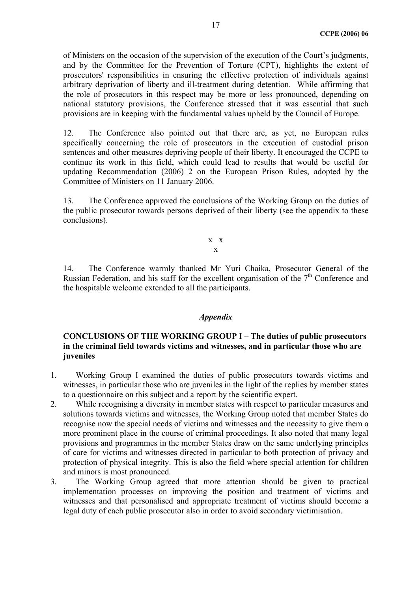of Ministers on the occasion of the supervision of the execution of the Court's judgments, and by the Committee for the Prevention of Torture (CPT), highlights the extent of prosecutors' responsibilities in ensuring the effective protection of individuals against arbitrary deprivation of liberty and ill-treatment during detention. While affirming that the role of prosecutors in this respect may be more or less pronounced, depending on national statutory provisions, the Conference stressed that it was essential that such provisions are in keeping with the fundamental values upheld by the Council of Europe.

12. The Conference also pointed out that there are, as yet, no European rules specifically concerning the role of prosecutors in the execution of custodial prison sentences and other measures depriving people of their liberty. It encouraged the CCPE to continue its work in this field, which could lead to results that would be useful for updating Recommendation (2006) 2 on the European Prison Rules, adopted by the Committee of Ministers on 11 January 2006.

13. The Conference approved the conclusions of the Working Group on the duties of the public prosecutor towards persons deprived of their liberty (see the appendix to these conclusions).

> x x x

14. The Conference warmly thanked Mr Yuri Chaika, Prosecutor General of the Russian Federation, and his staff for the excellent organisation of the  $7<sup>th</sup>$  Conference and the hospitable welcome extended to all the participants.

#### *Appendix*

### **CONCLUSIONS OF THE WORKING GROUP I – The duties of public prosecutors in the criminal field towards victims and witnesses, and in particular those who are juveniles**

- 1. Working Group I examined the duties of public prosecutors towards victims and witnesses, in particular those who are juveniles in the light of the replies by member states to a questionnaire on this subject and a report by the scientific expert.
- 2. While recognising a diversity in member states with respect to particular measures and solutions towards victims and witnesses, the Working Group noted that member States do recognise now the special needs of victims and witnesses and the necessity to give them a more prominent place in the course of criminal proceedings. It also noted that many legal provisions and programmes in the member States draw on the same underlying principles of care for victims and witnesses directed in particular to both protection of privacy and protection of physical integrity. This is also the field where special attention for children and minors is most pronounced.
- 3. The Working Group agreed that more attention should be given to practical implementation processes on improving the position and treatment of victims and witnesses and that personalised and appropriate treatment of victims should become a legal duty of each public prosecutor also in order to avoid secondary victimisation.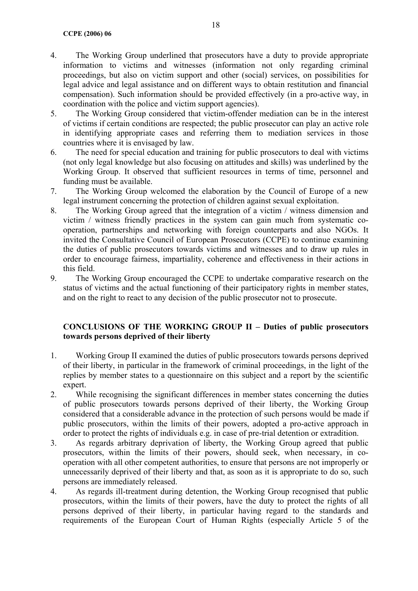- 4. The Working Group underlined that prosecutors have a duty to provide appropriate information to victims and witnesses (information not only regarding criminal proceedings, but also on victim support and other (social) services, on possibilities for legal advice and legal assistance and on different ways to obtain restitution and financial compensation). Such information should be provided effectively (in a pro-active way, in coordination with the police and victim support agencies).
- 5. The Working Group considered that victim-offender mediation can be in the interest of victims if certain conditions are respected; the public prosecutor can play an active role in identifying appropriate cases and referring them to mediation services in those countries where it is envisaged by law.
- 6. The need for special education and training for public prosecutors to deal with victims (not only legal knowledge but also focusing on attitudes and skills) was underlined by the Working Group. It observed that sufficient resources in terms of time, personnel and funding must be available.
- 7. The Working Group welcomed the elaboration by the Council of Europe of a new legal instrument concerning the protection of children against sexual exploitation.
- 8. The Working Group agreed that the integration of a victim / witness dimension and victim / witness friendly practices in the system can gain much from systematic cooperation, partnerships and networking with foreign counterparts and also NGOs. It invited the Consultative Council of European Prosecutors (CCPE) to continue examining the duties of public prosecutors towards victims and witnesses and to draw up rules in order to encourage fairness, impartiality, coherence and effectiveness in their actions in this field.
- 9. The Working Group encouraged the CCPE to undertake comparative research on the status of victims and the actual functioning of their participatory rights in member states, and on the right to react to any decision of the public prosecutor not to prosecute.

# **CONCLUSIONS OF THE WORKING GROUP II – Duties of public prosecutors towards persons deprived of their liberty**

- 1. Working Group II examined the duties of public prosecutors towards persons deprived of their liberty, in particular in the framework of criminal proceedings, in the light of the replies by member states to a questionnaire on this subject and a report by the scientific expert.
- 2. While recognising the significant differences in member states concerning the duties of public prosecutors towards persons deprived of their liberty, the Working Group considered that a considerable advance in the protection of such persons would be made if public prosecutors, within the limits of their powers, adopted a pro-active approach in order to protect the rights of individuals e.g. in case of pre-trial detention or extradition.
- 3. As regards arbitrary deprivation of liberty, the Working Group agreed that public prosecutors, within the limits of their powers, should seek, when necessary, in cooperation with all other competent authorities, to ensure that persons are not improperly or unnecessarily deprived of their liberty and that, as soon as it is appropriate to do so, such persons are immediately released.
- 4. As regards ill-treatment during detention, the Working Group recognised that public prosecutors, within the limits of their powers, have the duty to protect the rights of all persons deprived of their liberty, in particular having regard to the standards and requirements of the European Court of Human Rights (especially Article 5 of the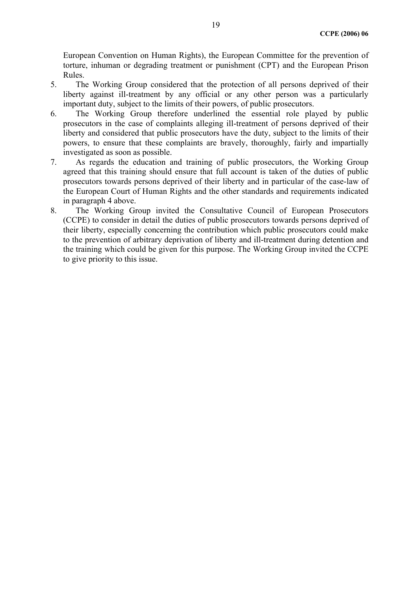European Convention on Human Rights), the European Committee for the prevention of torture, inhuman or degrading treatment or punishment (CPT) and the European Prison Rules.

- 5. The Working Group considered that the protection of all persons deprived of their liberty against ill-treatment by any official or any other person was a particularly important duty, subject to the limits of their powers, of public prosecutors.
- 6. The Working Group therefore underlined the essential role played by public prosecutors in the case of complaints alleging ill-treatment of persons deprived of their liberty and considered that public prosecutors have the duty, subject to the limits of their powers, to ensure that these complaints are bravely, thoroughly, fairly and impartially investigated as soon as possible.
- 7. As regards the education and training of public prosecutors, the Working Group agreed that this training should ensure that full account is taken of the duties of public prosecutors towards persons deprived of their liberty and in particular of the case-law of the European Court of Human Rights and the other standards and requirements indicated in paragraph 4 above.
- 8. The Working Group invited the Consultative Council of European Prosecutors (CCPE) to consider in detail the duties of public prosecutors towards persons deprived of their liberty, especially concerning the contribution which public prosecutors could make to the prevention of arbitrary deprivation of liberty and ill-treatment during detention and the training which could be given for this purpose. The Working Group invited the CCPE to give priority to this issue.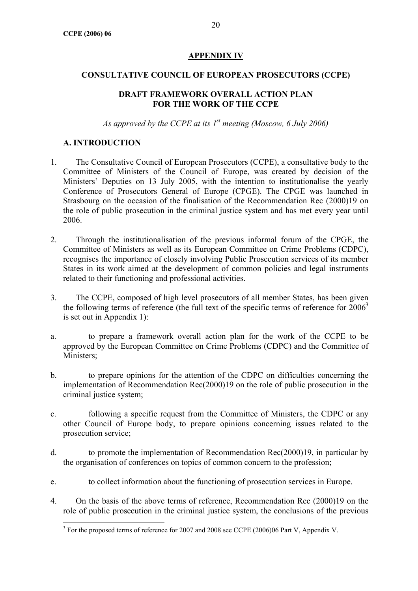### **APPENDIX IV**

#### **CONSULTATIVE COUNCIL OF EUROPEAN PROSECUTORS (CCPE)**

#### **DRAFT FRAMEWORK OVERALL ACTION PLAN FOR THE WORK OF THE CCPE**

*As approved by the CCPE at its 1<sup>st</sup> meeting (Moscow, 6 July 2006)* 

### **A. INTRODUCTION**

 $\overline{a}$ 

- 1. The Consultative Council of European Prosecutors (CCPE), a consultative body to the Committee of Ministers of the Council of Europe, was created by decision of the Ministers' Deputies on 13 July 2005, with the intention to institutionalise the yearly Conference of Prosecutors General of Europe (CPGE). The CPGE was launched in Strasbourg on the occasion of the finalisation of the Recommendation Rec (2000)19 on the role of public prosecution in the criminal justice system and has met every year until 2006.
- 2. Through the institutionalisation of the previous informal forum of the CPGE, the Committee of Ministers as well as its European Committee on Crime Problems (CDPC), recognises the importance of closely involving Public Prosecution services of its member States in its work aimed at the development of common policies and legal instruments related to their functioning and professional activities.
- 3. The CCPE, composed of high level prosecutors of all member States, has been given the following terms of reference (the full text of the specific terms of reference for  $2006<sup>3</sup>$ is set out in Appendix 1):
- a. to prepare a framework overall action plan for the work of the CCPE to be approved by the European Committee on Crime Problems (CDPC) and the Committee of Ministers;
- b. to prepare opinions for the attention of the CDPC on difficulties concerning the implementation of Recommendation Rec(2000)19 on the role of public prosecution in the criminal justice system;
- c. following a specific request from the Committee of Ministers, the CDPC or any other Council of Europe body, to prepare opinions concerning issues related to the prosecution service;
- d. to promote the implementation of Recommendation Rec(2000)19, in particular by the organisation of conferences on topics of common concern to the profession;
- e. to collect information about the functioning of prosecution services in Europe.
- 4. On the basis of the above terms of reference, Recommendation Rec (2000)19 on the role of public prosecution in the criminal justice system, the conclusions of the previous

<sup>&</sup>lt;sup>3</sup> For the proposed terms of reference for 2007 and 2008 see CCPE (2006)06 Part V, Appendix V.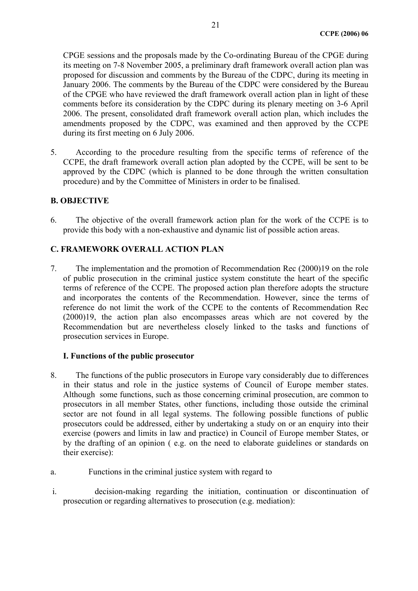CPGE sessions and the proposals made by the Co-ordinating Bureau of the CPGE during its meeting on 7-8 November 2005, a preliminary draft framework overall action plan was proposed for discussion and comments by the Bureau of the CDPC, during its meeting in January 2006. The comments by the Bureau of the CDPC were considered by the Bureau of the CPGE who have reviewed the draft framework overall action plan in light of these comments before its consideration by the CDPC during its plenary meeting on 3-6 April 2006. The present, consolidated draft framework overall action plan, which includes the amendments proposed by the CDPC, was examined and then approved by the CCPE during its first meeting on 6 July 2006.

5. According to the procedure resulting from the specific terms of reference of the CCPE, the draft framework overall action plan adopted by the CCPE, will be sent to be approved by the CDPC (which is planned to be done through the written consultation procedure) and by the Committee of Ministers in order to be finalised.

#### **B. OBJECTIVE**

6. The objective of the overall framework action plan for the work of the CCPE is to provide this body with a non-exhaustive and dynamic list of possible action areas.

#### **C. FRAMEWORK OVERALL ACTION PLAN**

7. The implementation and the promotion of Recommendation Rec (2000)19 on the role of public prosecution in the criminal justice system constitute the heart of the specific terms of reference of the CCPE. The proposed action plan therefore adopts the structure and incorporates the contents of the Recommendation. However, since the terms of reference do not limit the work of the CCPE to the contents of Recommendation Rec (2000)19, the action plan also encompasses areas which are not covered by the Recommendation but are nevertheless closely linked to the tasks and functions of prosecution services in Europe.

#### **I. Functions of the public prosecutor**

- 8. The functions of the public prosecutors in Europe vary considerably due to differences in their status and role in the justice systems of Council of Europe member states. Although some functions, such as those concerning criminal prosecution, are common to prosecutors in all member States, other functions, including those outside the criminal sector are not found in all legal systems. The following possible functions of public prosecutors could be addressed, either by undertaking a study on or an enquiry into their exercise (powers and limits in law and practice) in Council of Europe member States, or by the drafting of an opinion ( e.g. on the need to elaborate guidelines or standards on their exercise):
- a. Functions in the criminal justice system with regard to
- i. decision-making regarding the initiation, continuation or discontinuation of prosecution or regarding alternatives to prosecution (e.g. mediation):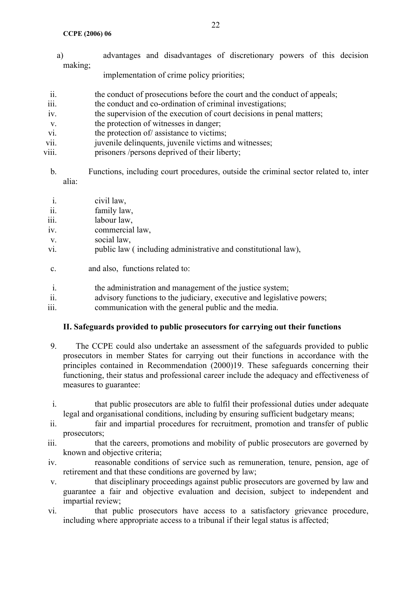#### **CCPE (2006) 06**

| a)                        | advantages and disadvantages of discretionary powers of this decision    |
|---------------------------|--------------------------------------------------------------------------|
| making;                   | implementation of crime policy priorities;                               |
| $\overline{\mathbf{u}}$ . | the conduct of prosecutions before the court and the conduct of appeals; |
| iii.                      | the conduct and co-ordination of criminal investigations;                |
| iv.                       | the supervision of the execution of court decisions in penal matters;    |
| V.                        | the protection of witnesses in danger;                                   |
| vi.                       | the protection of/ assistance to victims;                                |
| vii.                      | juvenile delinquents, juvenile victims and witnesses;                    |
|                           |                                                                          |

- viii. prisoners /persons deprived of their liberty;
	- b. Functions, including court procedures, outside the criminal sector related to, inter alia:

| civil law, |
|------------|
|            |

- ii. family law,
- iii. labour law,
- iv. commercial law,
- v. social law,
- vi. public law ( including administrative and constitutional law),
- c. and also, functions related to:
- i. the administration and management of the justice system;
- ii. advisory functions to the judiciary, executive and legislative powers;
- iii. communication with the general public and the media.

# **II. Safeguards provided to public prosecutors for carrying out their functions**

- 9. The CCPE could also undertake an assessment of the safeguards provided to public prosecutors in member States for carrying out their functions in accordance with the principles contained in Recommendation (2000)19. These safeguards concerning their functioning, their status and professional career include the adequacy and effectiveness of measures to guarantee:
- i. that public prosecutors are able to fulfil their professional duties under adequate legal and organisational conditions, including by ensuring sufficient budgetary means;
- ii. fair and impartial procedures for recruitment, promotion and transfer of public prosecutors;
- iii. that the careers, promotions and mobility of public prosecutors are governed by known and objective criteria;
- iv. reasonable conditions of service such as remuneration, tenure, pension, age of retirement and that these conditions are governed by law;
- v. that disciplinary proceedings against public prosecutors are governed by law and guarantee a fair and objective evaluation and decision, subject to independent and impartial review;
- vi. that public prosecutors have access to a satisfactory grievance procedure, including where appropriate access to a tribunal if their legal status is affected;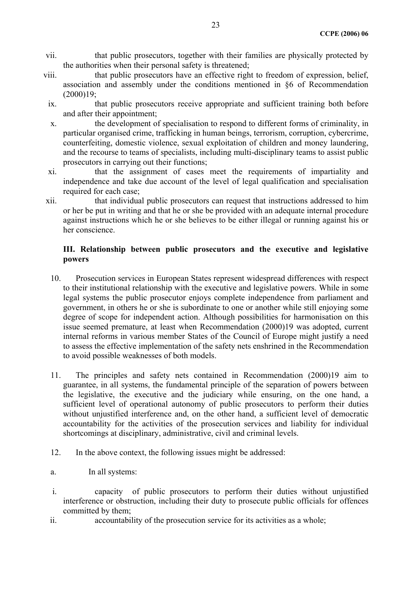- vii. that public prosecutors, together with their families are physically protected by the authorities when their personal safety is threatened;
- viii. that public prosecutors have an effective right to freedom of expression, belief, association and assembly under the conditions mentioned in §6 of Recommendation (2000)19;
	- ix. that public prosecutors receive appropriate and sufficient training both before and after their appointment;
	- x. the development of specialisation to respond to different forms of criminality, in particular organised crime, trafficking in human beings, terrorism, corruption, cybercrime, counterfeiting, domestic violence, sexual exploitation of children and money laundering, and the recourse to teams of specialists, including multi-disciplinary teams to assist public prosecutors in carrying out their functions;
	- xi. that the assignment of cases meet the requirements of impartiality and independence and take due account of the level of legal qualification and specialisation required for each case;
- xii. that individual public prosecutors can request that instructions addressed to him or her be put in writing and that he or she be provided with an adequate internal procedure against instructions which he or she believes to be either illegal or running against his or her conscience.

#### **III. Relationship between public prosecutors and the executive and legislative powers**

- 10. Prosecution services in European States represent widespread differences with respect to their institutional relationship with the executive and legislative powers. While in some legal systems the public prosecutor enjoys complete independence from parliament and government, in others he or she is subordinate to one or another while still enjoying some degree of scope for independent action. Although possibilities for harmonisation on this issue seemed premature, at least when Recommendation (2000)19 was adopted, current internal reforms in various member States of the Council of Europe might justify a need to assess the effective implementation of the safety nets enshrined in the Recommendation to avoid possible weaknesses of both models.
- 11. The principles and safety nets contained in Recommendation (2000)19 aim to guarantee, in all systems, the fundamental principle of the separation of powers between the legislative, the executive and the judiciary while ensuring, on the one hand, a sufficient level of operational autonomy of public prosecutors to perform their duties without unjustified interference and, on the other hand, a sufficient level of democratic accountability for the activities of the prosecution services and liability for individual shortcomings at disciplinary, administrative, civil and criminal levels.
- 12. In the above context, the following issues might be addressed:
- a. In all systems:
- i. capacity of public prosecutors to perform their duties without unjustified interference or obstruction, including their duty to prosecute public officials for offences committed by them;
- ii. accountability of the prosecution service for its activities as a whole;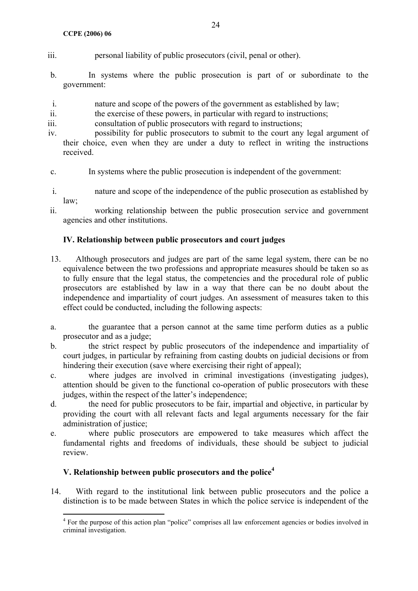- iii. personal liability of public prosecutors (civil, penal or other).
- b. In systems where the public prosecution is part of or subordinate to the government:
- i. nature and scope of the powers of the government as established by law;
- ii. the exercise of these powers, in particular with regard to instructions;
- iii. consultation of public prosecutors with regard to instructions;
- iv. possibility for public prosecutors to submit to the court any legal argument of their choice, even when they are under a duty to reflect in writing the instructions received.
- c. In systems where the public prosecution is independent of the government:
- i. nature and scope of the independence of the public prosecution as established by law;
- ii. working relationship between the public prosecution service and government agencies and other institutions.

# **IV. Relationship between public prosecutors and court judges**

- 13. Although prosecutors and judges are part of the same legal system, there can be no equivalence between the two professions and appropriate measures should be taken so as to fully ensure that the legal status, the competencies and the procedural role of public prosecutors are established by law in a way that there can be no doubt about the independence and impartiality of court judges. An assessment of measures taken to this effect could be conducted, including the following aspects:
- a. the guarantee that a person cannot at the same time perform duties as a public prosecutor and as a judge;
- b. the strict respect by public prosecutors of the independence and impartiality of court judges, in particular by refraining from casting doubts on judicial decisions or from hindering their execution (save where exercising their right of appeal);
- c. where judges are involved in criminal investigations (investigating judges), attention should be given to the functional co-operation of public prosecutors with these judges, within the respect of the latter's independence;
- d. the need for public prosecutors to be fair, impartial and objective, in particular by providing the court with all relevant facts and legal arguments necessary for the fair administration of justice;
- e. where public prosecutors are empowered to take measures which affect the fundamental rights and freedoms of individuals, these should be subject to judicial review.

# **V. Relationship between public prosecutors and the police4**

 $\overline{a}$ 

14. With regard to the institutional link between public prosecutors and the police a distinction is to be made between States in which the police service is independent of the

<sup>&</sup>lt;sup>4</sup> For the purpose of this action plan "police" comprises all law enforcement agencies or bodies involved in criminal investigation.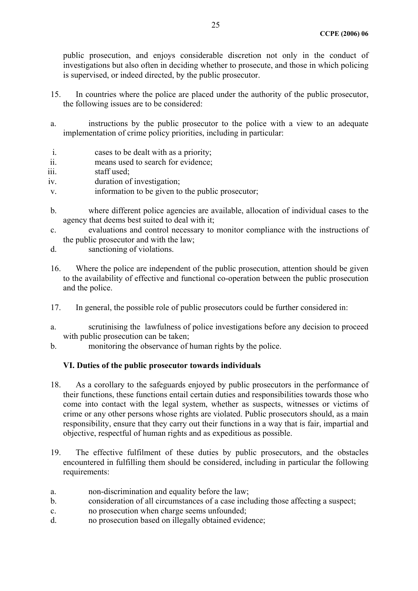public prosecution, and enjoys considerable discretion not only in the conduct of investigations but also often in deciding whether to prosecute, and those in which policing is supervised, or indeed directed, by the public prosecutor.

- 15. In countries where the police are placed under the authority of the public prosecutor, the following issues are to be considered:
- a. instructions by the public prosecutor to the police with a view to an adequate implementation of crime policy priorities, including in particular:
- i. cases to be dealt with as a priority;
- ii. means used to search for evidence;
- iii. staff used;
- iv. duration of investigation;
- v. information to be given to the public prosecutor;
- b. where different police agencies are available, allocation of individual cases to the agency that deems best suited to deal with it;
- c. evaluations and control necessary to monitor compliance with the instructions of the public prosecutor and with the law;
- d. sanctioning of violations.
- 16. Where the police are independent of the public prosecution, attention should be given to the availability of effective and functional co-operation between the public prosecution and the police.
- 17. In general, the possible role of public prosecutors could be further considered in:
- a. scrutinising the lawfulness of police investigations before any decision to proceed with public prosecution can be taken;
- b. monitoring the observance of human rights by the police.

#### **VI. Duties of the public prosecutor towards individuals**

- 18. As a corollary to the safeguards enjoyed by public prosecutors in the performance of their functions, these functions entail certain duties and responsibilities towards those who come into contact with the legal system, whether as suspects, witnesses or victims of crime or any other persons whose rights are violated. Public prosecutors should, as a main responsibility, ensure that they carry out their functions in a way that is fair, impartial and objective, respectful of human rights and as expeditious as possible.
- 19. The effective fulfilment of these duties by public prosecutors, and the obstacles encountered in fulfilling them should be considered, including in particular the following requirements:
- a. non-discrimination and equality before the law;
- b. consideration of all circumstances of a case including those affecting a suspect;
- c. no prosecution when charge seems unfounded;
- d. no prosecution based on illegally obtained evidence;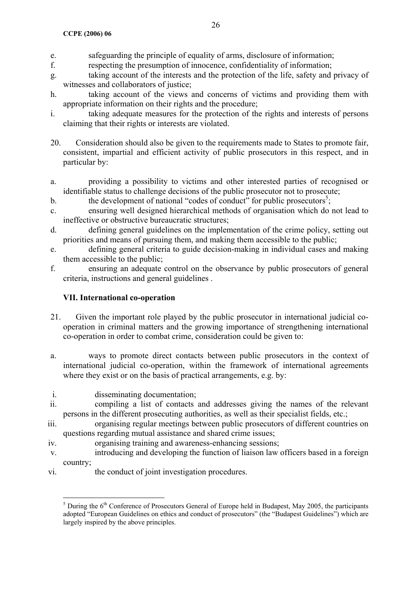#### **CCPE (2006) 06**

- e. safeguarding the principle of equality of arms, disclosure of information;
- f. respecting the presumption of innocence, confidentiality of information;
- g. taking account of the interests and the protection of the life, safety and privacy of witnesses and collaborators of justice;
- h. taking account of the views and concerns of victims and providing them with appropriate information on their rights and the procedure;
- i. taking adequate measures for the protection of the rights and interests of persons claiming that their rights or interests are violated.
- 20. Consideration should also be given to the requirements made to States to promote fair, consistent, impartial and efficient activity of public prosecutors in this respect, and in particular by:
- a. providing a possibility to victims and other interested parties of recognised or identifiable status to challenge decisions of the public prosecutor not to prosecute;
- b. the development of national "codes of conduct" for public prosecutors<sup>5</sup>;
- c. ensuring well designed hierarchical methods of organisation which do not lead to ineffective or obstructive bureaucratic structures;
- d. defining general guidelines on the implementation of the crime policy, setting out priorities and means of pursuing them, and making them accessible to the public;
- e. defining general criteria to guide decision-making in individual cases and making them accessible to the public;
- f. ensuring an adequate control on the observance by public prosecutors of general criteria, instructions and general guidelines .

### **VII. International co-operation**

- 21. Given the important role played by the public prosecutor in international judicial cooperation in criminal matters and the growing importance of strengthening international co-operation in order to combat crime, consideration could be given to:
- a. ways to promote direct contacts between public prosecutors in the context of international judicial co-operation, within the framework of international agreements where they exist or on the basis of practical arrangements, e.g. by:
- i. disseminating documentation;
- ii. compiling a list of contacts and addresses giving the names of the relevant persons in the different prosecuting authorities, as well as their specialist fields, etc.;
- iii. organising regular meetings between public prosecutors of different countries on questions regarding mutual assistance and shared crime issues;
- iv. organising training and awareness-enhancing sessions;
- v. introducing and developing the function of liaison law officers based in a foreign country;
- vi. the conduct of joint investigation procedures.

 $\overline{a}$ <sup>5</sup> During the  $6<sup>th</sup>$  Conference of Prosecutors General of Europe held in Budapest, May 2005, the participants adopted "European Guidelines on ethics and conduct of prosecutors" (the "Budapest Guidelines") which are largely inspired by the above principles.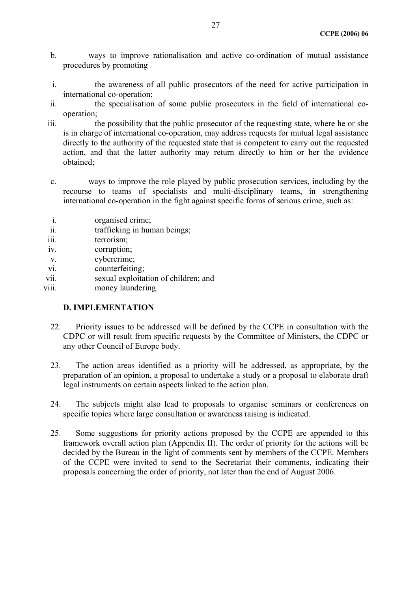- b. ways to improve rationalisation and active co-ordination of mutual assistance procedures by promoting
- i. the awareness of all public prosecutors of the need for active participation in international co-operation;
- ii. the specialisation of some public prosecutors in the field of international cooperation;
- iii. the possibility that the public prosecutor of the requesting state, where he or she is in charge of international co-operation, may address requests for mutual legal assistance directly to the authority of the requested state that is competent to carry out the requested action, and that the latter authority may return directly to him or her the evidence obtained;
- c. ways to improve the role played by public prosecution services, including by the recourse to teams of specialists and multi-disciplinary teams, in strengthening international co-operation in the fight against specific forms of serious crime, such as:
- i. organised crime;
- ii. trafficking in human beings;
- iii. terrorism;
- iv. corruption;
- v. cybercrime;
- vi. counterfeiting;
- vii. sexual exploitation of children; and
- viii. money laundering.

### **D. IMPLEMENTATION**

- 22. Priority issues to be addressed will be defined by the CCPE in consultation with the CDPC or will result from specific requests by the Committee of Ministers, the CDPC or any other Council of Europe body.
- 23. The action areas identified as a priority will be addressed, as appropriate, by the preparation of an opinion, a proposal to undertake a study or a proposal to elaborate draft legal instruments on certain aspects linked to the action plan.
- 24. The subjects might also lead to proposals to organise seminars or conferences on specific topics where large consultation or awareness raising is indicated.
- 25. Some suggestions for priority actions proposed by the CCPE are appended to this framework overall action plan (Appendix II). The order of priority for the actions will be decided by the Bureau in the light of comments sent by members of the CCPE. Members of the CCPE were invited to send to the Secretariat their comments, indicating their proposals concerning the order of priority, not later than the end of August 2006.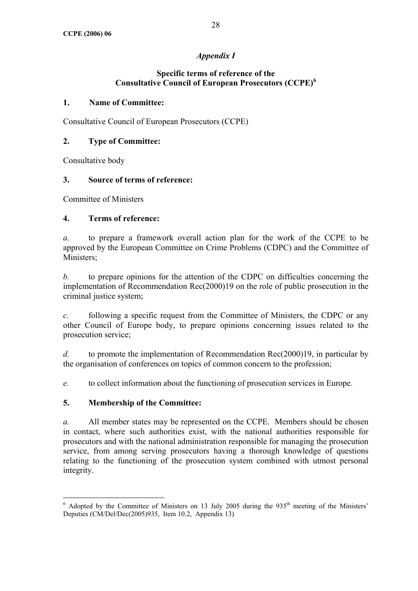# *Appendix I*

### **Specific terms of reference of the Consultative Council of European Prosecutors (CCPE)<sup>6</sup>**

### **1. Name of Committee:**

Consultative Council of European Prosecutors (CCPE)

# **2. Type of Committee:**

Consultative body

# **3. Source of terms of reference:**

Committee of Ministers

# **4. Terms of reference:**

*a.* to prepare a framework overall action plan for the work of the CCPE to be approved by the European Committee on Crime Problems (CDPC) and the Committee of Ministers;

*b.* to prepare opinions for the attention of the CDPC on difficulties concerning the implementation of Recommendation Rec(2000)19 on the role of public prosecution in the criminal justice system;

*c.* following a specific request from the Committee of Ministers, the CDPC or any other Council of Europe body, to prepare opinions concerning issues related to the prosecution service;

*d.* to promote the implementation of Recommendation Rec(2000)19, in particular by the organisation of conferences on topics of common concern to the profession;

*e.* to collect information about the functioning of prosecution services in Europe.

# **5. Membership of the Committee:**

*a.* All member states may be represented on the CCPE. Members should be chosen in contact, where such authorities exist, with the national authorities responsible for prosecutors and with the national administration responsible for managing the prosecution service, from among serving prosecutors having a thorough knowledge of questions relating to the functioning of the prosecution system combined with utmost personal integrity.

<sup>&</sup>lt;sup>6</sup> Adopted by the Committee of Ministers on 13 July 2005 during the 935<sup>th</sup> meeting of the Ministers' Deputies (CM/Del/Dec(2005)935, Item 10.2, Appendix 13)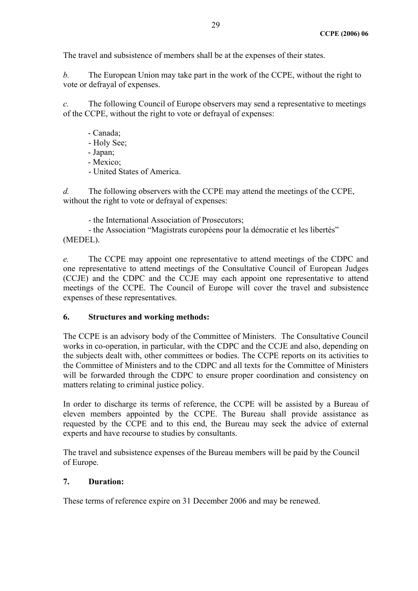The travel and subsistence of members shall be at the expenses of their states.

*b.* The European Union may take part in the work of the CCPE, without the right to vote or defrayal of expenses.

*c.* The following Council of Europe observers may send a representative to meetings of the CCPE, without the right to vote or defrayal of expenses:

- Canada;
- Holy See;
- Japan;
- Mexico;
- United States of America.

*d.* The following observers with the CCPE may attend the meetings of the CCPE, without the right to vote or defrayal of expenses:

- the International Association of Prosecutors;

- the Association "Magistrats européens pour la démocratie et les libertés" (MEDEL).

*e.* The CCPE may appoint one representative to attend meetings of the CDPC and one representative to attend meetings of the Consultative Council of European Judges (CCJE) and the CDPC and the CCJE may each appoint one representative to attend meetings of the CCPE. The Council of Europe will cover the travel and subsistence expenses of these representatives.

#### **6. Structures and working methods:**

The CCPE is an advisory body of the Committee of Ministers. The Consultative Council works in co-operation, in particular, with the CDPC and the CCJE and also, depending on the subjects dealt with, other committees or bodies. The CCPE reports on its activities to the Committee of Ministers and to the CDPC and all texts for the Committee of Ministers will be forwarded through the CDPC to ensure proper coordination and consistency on matters relating to criminal justice policy.

In order to discharge its terms of reference, the CCPE will be assisted by a Bureau of eleven members appointed by the CCPE. The Bureau shall provide assistance as requested by the CCPE and to this end, the Bureau may seek the advice of external experts and have recourse to studies by consultants.

The travel and subsistence expenses of the Bureau members will be paid by the Council of Europe.

#### **7. Duration:**

These terms of reference expire on 31 December 2006 and may be renewed.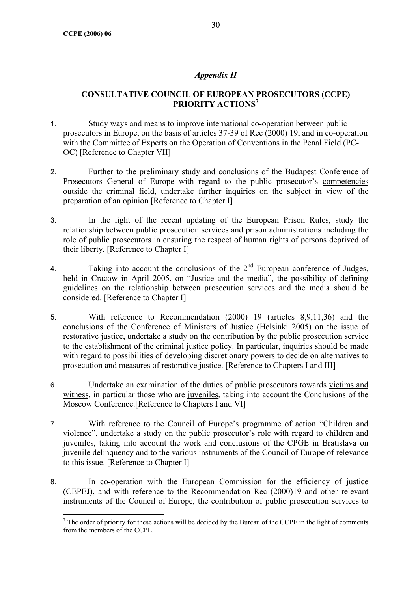$\overline{a}$ 

### **CONSULTATIVE COUNCIL OF EUROPEAN PROSECUTORS (CCPE) PRIORITY ACTIONS<sup>7</sup>**

- 1. Study ways and means to improve international co-operation between public prosecutors in Europe, on the basis of articles 37-39 of Rec (2000) 19, and in co-operation with the Committee of Experts on the Operation of Conventions in the Penal Field (PC-OC) [Reference to Chapter VII]
- 2. Further to the preliminary study and conclusions of the Budapest Conference of Prosecutors General of Europe with regard to the public prosecutor's competencies outside the criminal field, undertake further inquiries on the subject in view of the preparation of an opinion [Reference to Chapter I]
- 3. In the light of the recent updating of the European Prison Rules, study the relationship between public prosecution services and prison administrations including the role of public prosecutors in ensuring the respect of human rights of persons deprived of their liberty. [Reference to Chapter I]
- 4. Taking into account the conclusions of the 2<sup>nd</sup> European conference of Judges, held in Cracow in April 2005, on "Justice and the media", the possibility of defining guidelines on the relationship between prosecution services and the media should be considered. [Reference to Chapter I]
- 5. With reference to Recommendation (2000) 19 (articles 8,9,11,36) and the conclusions of the Conference of Ministers of Justice (Helsinki 2005) on the issue of restorative justice, undertake a study on the contribution by the public prosecution service to the establishment of the criminal justice policy. In particular, inquiries should be made with regard to possibilities of developing discretionary powers to decide on alternatives to prosecution and measures of restorative justice. [Reference to Chapters I and III]
- 6. Undertake an examination of the duties of public prosecutors towards victims and witness, in particular those who are juveniles, taking into account the Conclusions of the Moscow Conference.[Reference to Chapters I and VI]
- 7. With reference to the Council of Europe's programme of action "Children and violence", undertake a study on the public prosecutor's role with regard to children and juveniles, taking into account the work and conclusions of the CPGE in Bratislava on juvenile delinquency and to the various instruments of the Council of Europe of relevance to this issue. [Reference to Chapter I]
- 8. In co-operation with the European Commission for the efficiency of justice (CEPEJ), and with reference to the Recommendation Rec (2000)19 and other relevant instruments of the Council of Europe, the contribution of public prosecution services to

 $<sup>7</sup>$  The order of priority for these actions will be decided by the Bureau of the CCPE in the light of comments</sup> from the members of the CCPE.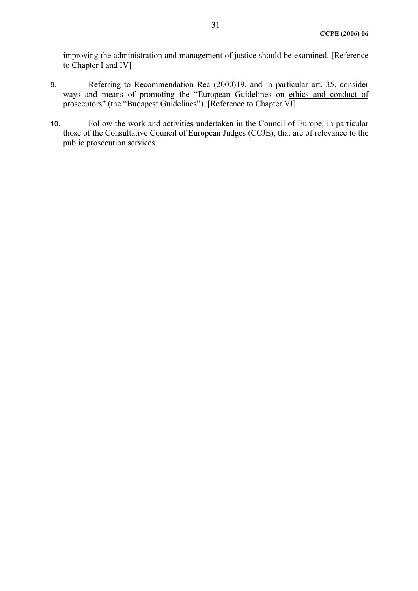improving the administration and management of justice should be examined. [Reference to Chapter I and IV]

- 9. Referring to Recommendation Rec (2000)19, and in particular art. 35, consider ways and means of promoting the "European Guidelines on ethics and conduct of prosecutors" (the "Budapest Guidelines"). [Reference to Chapter VI]
- 10. Follow the work and activities undertaken in the Council of Europe, in particular those of the Consultative Council of European Judges (CCJE), that are of relevance to the public prosecution services.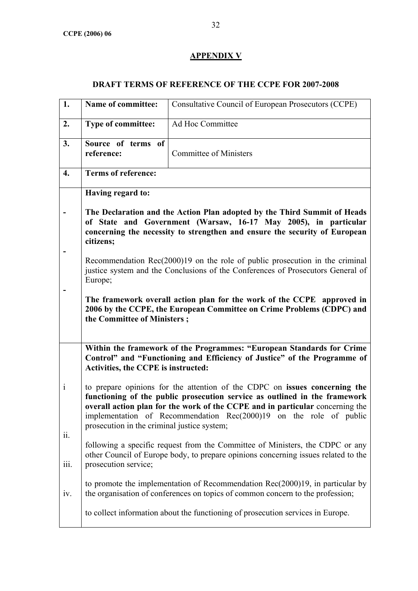# **APPENDIX V**

# **DRAFT TERMS OF REFERENCE OF THE CCPE FOR 2007-2008**

| 1.               | Name of committee:                          | Consultative Council of European Prosecutors (CCPE)                                                                                                                                                                                                                                                             |
|------------------|---------------------------------------------|-----------------------------------------------------------------------------------------------------------------------------------------------------------------------------------------------------------------------------------------------------------------------------------------------------------------|
| 2.               | <b>Type of committee:</b>                   | Ad Hoc Committee                                                                                                                                                                                                                                                                                                |
| 3.               | Source of terms of<br>reference:            | <b>Committee of Ministers</b>                                                                                                                                                                                                                                                                                   |
| $\overline{4}$ . | Terms of reference:                         |                                                                                                                                                                                                                                                                                                                 |
|                  | Having regard to:                           |                                                                                                                                                                                                                                                                                                                 |
|                  | citizens;                                   | The Declaration and the Action Plan adopted by the Third Summit of Heads<br>of State and Government (Warsaw, 16-17 May 2005), in particular<br>concerning the necessity to strengthen and ensure the security of European                                                                                       |
|                  | Europe;                                     | Recommendation $\text{Rec}(2000)19$ on the role of public prosecution in the criminal<br>justice system and the Conclusions of the Conferences of Prosecutors General of                                                                                                                                        |
|                  | the Committee of Ministers;                 | The framework overall action plan for the work of the CCPE approved in<br>2006 by the CCPE, the European Committee on Crime Problems (CDPC) and                                                                                                                                                                 |
|                  | Activities, the CCPE is instructed:         | Within the framework of the Programmes: "European Standards for Crime<br>Control" and "Functioning and Efficiency of Justice" of the Programme of                                                                                                                                                               |
| $\mathbf{i}$     | prosecution in the criminal justice system; | to prepare opinions for the attention of the CDPC on issues concerning the<br>functioning of the public prosecution service as outlined in the framework<br>overall action plan for the work of the CCPE and in particular concerning the<br>implementation of Recommendation Rec(2000)19 on the role of public |
| ii.<br>iii.      | prosecution service;                        | following a specific request from the Committee of Ministers, the CDPC or any<br>other Council of Europe body, to prepare opinions concerning issues related to the                                                                                                                                             |
| iv.              |                                             | to promote the implementation of Recommendation Rec(2000)19, in particular by<br>the organisation of conferences on topics of common concern to the profession;                                                                                                                                                 |
|                  |                                             | to collect information about the functioning of prosecution services in Europe.                                                                                                                                                                                                                                 |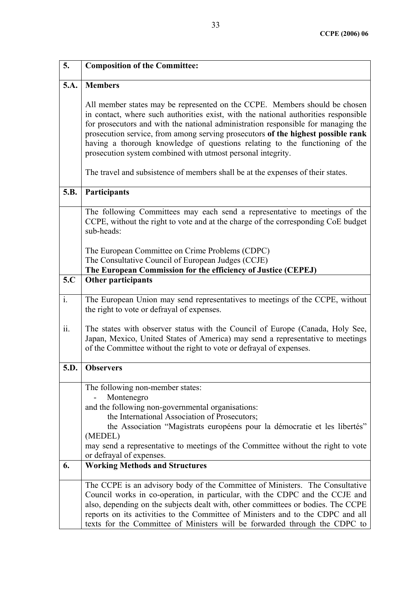| 5.             | <b>Composition of the Committee:</b>                                                                                                                                                                                                                                                                                                                                                                                                                                                     |
|----------------|------------------------------------------------------------------------------------------------------------------------------------------------------------------------------------------------------------------------------------------------------------------------------------------------------------------------------------------------------------------------------------------------------------------------------------------------------------------------------------------|
| 5.A.           | <b>Members</b>                                                                                                                                                                                                                                                                                                                                                                                                                                                                           |
|                | All member states may be represented on the CCPE. Members should be chosen<br>in contact, where such authorities exist, with the national authorities responsible<br>for prosecutors and with the national administration responsible for managing the<br>prosecution service, from among serving prosecutors of the highest possible rank<br>having a thorough knowledge of questions relating to the functioning of the<br>prosecution system combined with utmost personal integrity. |
|                | The travel and subsistence of members shall be at the expenses of their states.                                                                                                                                                                                                                                                                                                                                                                                                          |
| 5.B.           | Participants                                                                                                                                                                                                                                                                                                                                                                                                                                                                             |
|                | The following Committees may each send a representative to meetings of the<br>CCPE, without the right to vote and at the charge of the corresponding CoE budget<br>sub-heads:                                                                                                                                                                                                                                                                                                            |
|                | The European Committee on Crime Problems (CDPC)<br>The Consultative Council of European Judges (CCJE)<br>The European Commission for the efficiency of Justice (CEPEJ)                                                                                                                                                                                                                                                                                                                   |
| 5.C            | Other participants                                                                                                                                                                                                                                                                                                                                                                                                                                                                       |
| $\mathbf{i}$ . | The European Union may send representatives to meetings of the CCPE, without<br>the right to vote or defrayal of expenses.                                                                                                                                                                                                                                                                                                                                                               |
| ii.            | The states with observer status with the Council of Europe (Canada, Holy See,<br>Japan, Mexico, United States of America) may send a representative to meetings<br>of the Committee without the right to vote or defrayal of expenses.                                                                                                                                                                                                                                                   |
| 5.D.           | <b>Observers</b>                                                                                                                                                                                                                                                                                                                                                                                                                                                                         |
|                | The following non-member states:<br>Montenegro                                                                                                                                                                                                                                                                                                                                                                                                                                           |
|                | and the following non-governmental organisations:<br>the International Association of Prosecutors;                                                                                                                                                                                                                                                                                                                                                                                       |
|                | the Association "Magistrats européens pour la démocratie et les libertés"                                                                                                                                                                                                                                                                                                                                                                                                                |
|                | (MEDEL)<br>may send a representative to meetings of the Committee without the right to vote                                                                                                                                                                                                                                                                                                                                                                                              |
| 6.             | or defrayal of expenses.<br><b>Working Methods and Structures</b>                                                                                                                                                                                                                                                                                                                                                                                                                        |
|                | The CCPE is an advisory body of the Committee of Ministers. The Consultative                                                                                                                                                                                                                                                                                                                                                                                                             |
|                | Council works in co-operation, in particular, with the CDPC and the CCJE and<br>also, depending on the subjects dealt with, other committees or bodies. The CCPE<br>reports on its activities to the Committee of Ministers and to the CDPC and all<br>texts for the Committee of Ministers will be forwarded through the CDPC to                                                                                                                                                        |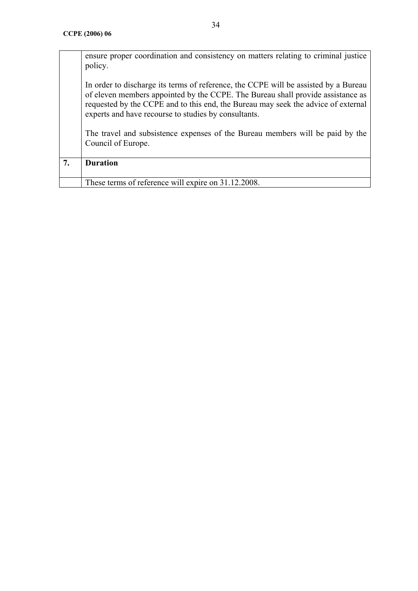|    | ensure proper coordination and consistency on matters relating to criminal justice<br>policy.                                                                                                                                                                                                                       |
|----|---------------------------------------------------------------------------------------------------------------------------------------------------------------------------------------------------------------------------------------------------------------------------------------------------------------------|
|    | In order to discharge its terms of reference, the CCPE will be assisted by a Bureau<br>of eleven members appointed by the CCPE. The Bureau shall provide assistance as<br>requested by the CCPE and to this end, the Bureau may seek the advice of external<br>experts and have recourse to studies by consultants. |
|    | The travel and subsistence expenses of the Bureau members will be paid by the<br>Council of Europe.                                                                                                                                                                                                                 |
| 7. | <b>Duration</b>                                                                                                                                                                                                                                                                                                     |
|    | These terms of reference will expire on 31.12.2008.                                                                                                                                                                                                                                                                 |